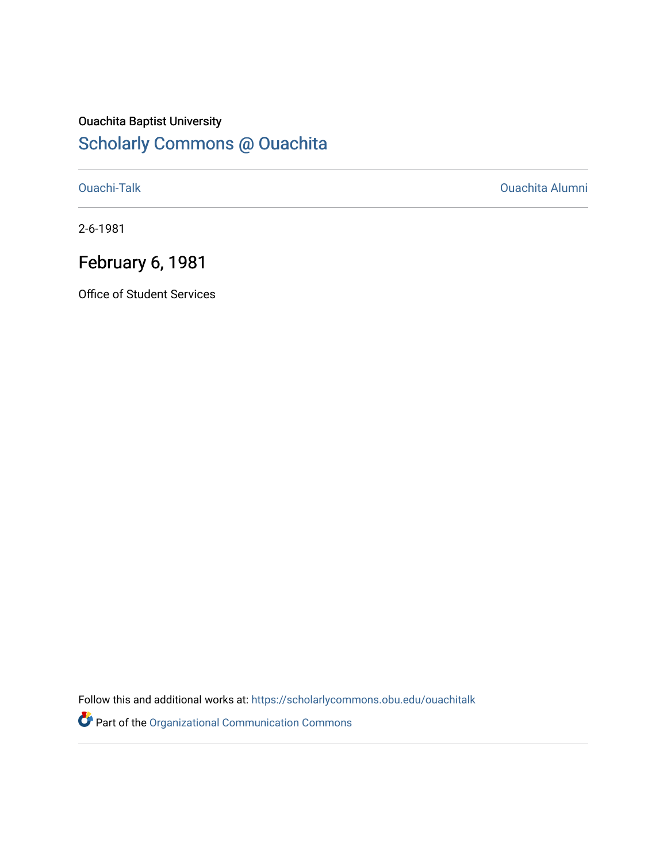### Ouachita Baptist University [Scholarly Commons @ Ouachita](https://scholarlycommons.obu.edu/)

[Ouachi-Talk](https://scholarlycommons.obu.edu/ouachitalk) [Ouachita Alumni](https://scholarlycommons.obu.edu/obu_alum) 

2-6-1981

## February 6, 1981

Office of Student Services

Follow this and additional works at: [https://scholarlycommons.obu.edu/ouachitalk](https://scholarlycommons.obu.edu/ouachitalk?utm_source=scholarlycommons.obu.edu%2Fouachitalk%2F76&utm_medium=PDF&utm_campaign=PDFCoverPages) 

Part of the [Organizational Communication Commons](http://network.bepress.com/hgg/discipline/335?utm_source=scholarlycommons.obu.edu%2Fouachitalk%2F76&utm_medium=PDF&utm_campaign=PDFCoverPages)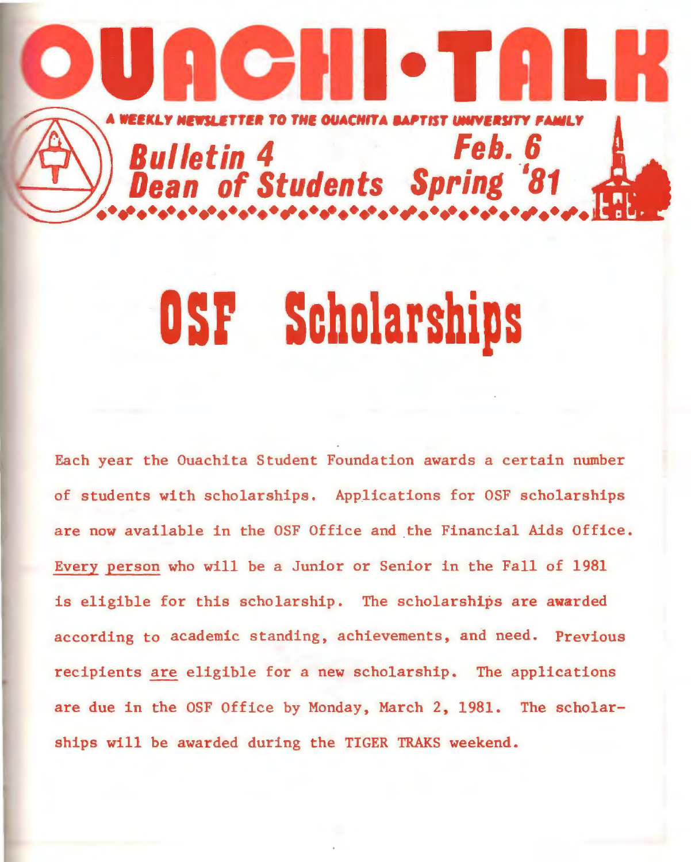## II o T  $\bullet$ ETTER TO THE OUACHITA BAI Feb. 6 **Bulletin 4** of Students Spring '81

## OSF Scholarships

Each year the Ouachita Student Foundation awards a certain number of students with scholarships. Applications for OSF scholarships are now available in the OSF Office and the Financial Aids Office. Every person who will be a Junior or Senior in the Fall of 1981 is eligible for this scholarship. The scholarships are awarded according to academic standing, achievements, and need. Previous recipients are eligible for a new scholarship. The applications are due in the OSF Office by Monday, March 2, 1981. The scholarships will be awarded during the TIGER TRAKS weekend.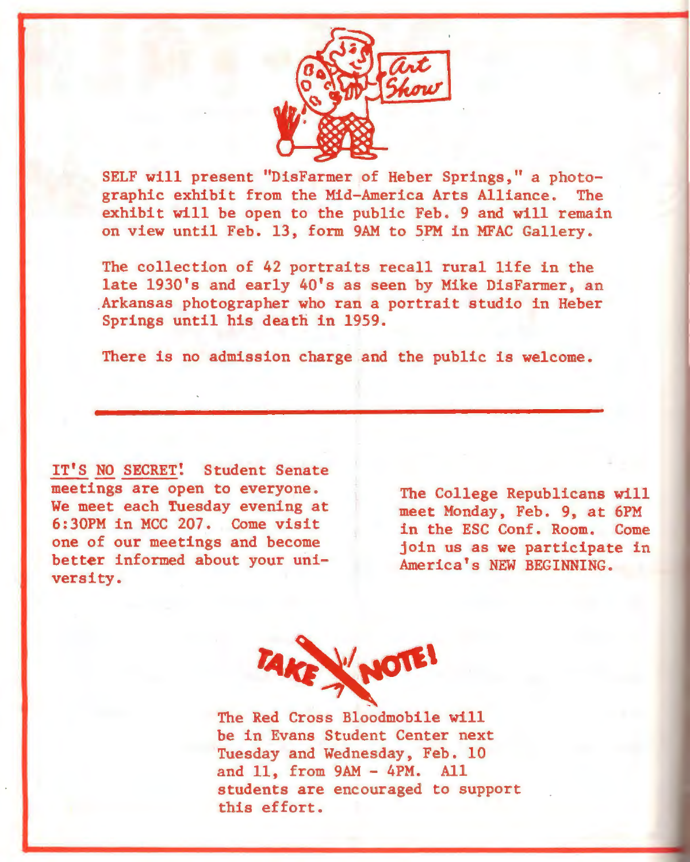

SELF will present "DisFarmer of Heber Springs," a photographic exhibit from the Mid-America Arts Alliance. The exhibit will be open to the public Feb. 9 and will remain on view until Feb. 13, form 9AM to 5PM in MFAC Gallery.

The collection of 42 portraits recall rural life in the late 1930's and early 40's as seen by Mike DisFarmer, an .Arkansas photographer who ran a portrait studio in Heber Springs until his death in 1959.

There is no admission charge and the public is welcome.

IT'S NO SECRET! Student Senate meetings are open to everyone. We meet each Tuesday evening at 6:30PM in MCC 207. Come visit one of our meetings and become better informed about your university.

The College Republicans will meet Monday, Feb. 9, at 6PM in the ESC Conf. Room. Come join us as we participate in America's NEW BEGINNING.



The Red Cross Bloodmobile will be in Evans Student Center next Tuesday and Wednesday, Feb. 10 and 11, from 9AM - 4PM. All students are encouraged to support this effort.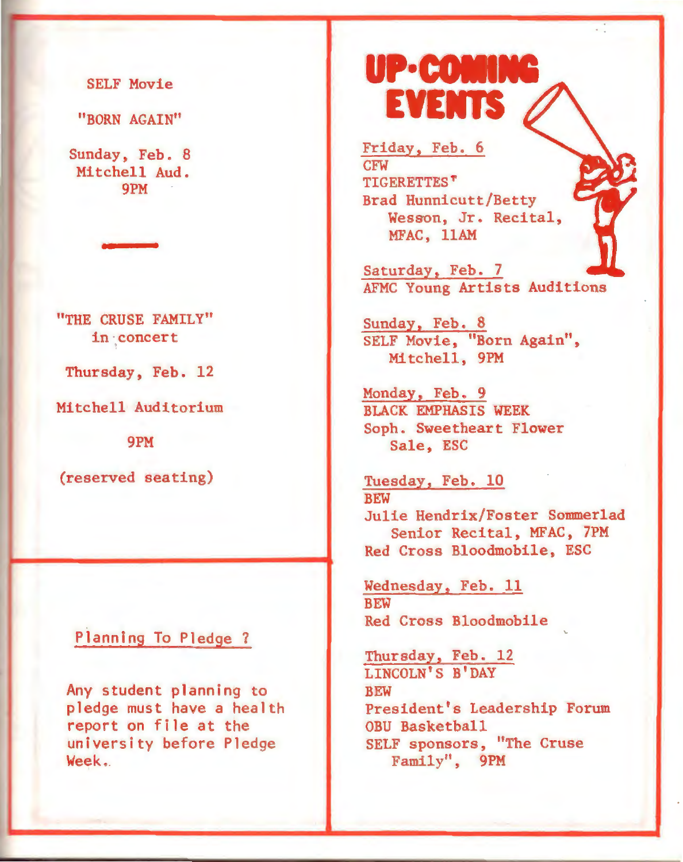SELF Movie

"BORN AGAIN"

Sunday, Feb. 8 Mitchell Aud. 9PM

"THE CRUSE FAMILY" in concert

Thursday, Feb. 12

Mitchell Auditorium

9PM

(reserved seating)

#### Planning To Pledge ?

Any student planning to pledge must have a health report on file at the university before Pledge Week.

## UP-COMIN **EVENTS**

Friday, Feb. 6 CFW **TIGERETTES<sup>T</sup>** Brad Hunnicutt/Betty Wesson, Jr. Recital, MFAC, 11AM

Saturday, Feb. 7 AFMC Young Artists Auditions

Sunday, Feb. 8 SELF Movie, "Born Again", Mitchell, 9PM

Monday, Feb. 9 BLACK EMPHASIS WEEK Soph. Sweetheart Flower Sale, ESC

Tuesday, Feb. 10 BEW Julie Hendrix/Foster Sommerlad Senior Recital, MFAC, 7PM Red Cross Bloodmobile, ESC

Wednesday, Feb. 11 **BEW** Red Cross Bloodmobile

Thursday, Feb. 12 LINCOLN'S B'DAY **BEW** President's Leadership Forum OBU Basketball SELF sponsors, "The Cruse Family", 9PM